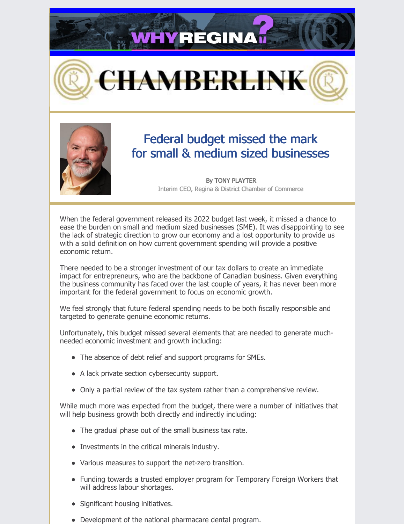**HYREGINA** 





# Federal budget missed the mark for small & medium sized businesses

By TONY PLAYTER Interim CEO, Regina & District Chamber of Commerce

When the federal government released its 2022 budget last week, it missed a chance to ease the burden on small and medium sized businesses (SME). It was disappointing to see the lack of strategic direction to grow our economy and a lost opportunity to provide us with a solid definition on how current government spending will provide a positive economic return.

There needed to be a stronger investment of our tax dollars to create an immediate impact for entrepreneurs, who are the backbone of Canadian business. Given everything the business community has faced over the last couple of years, it has never been more important for the federal government to focus on economic growth.

We feel strongly that future federal spending needs to be both fiscally responsible and targeted to generate genuine economic returns.

Unfortunately, this budget missed several elements that are needed to generate muchneeded economic investment and growth including:

- The absence of debt relief and support programs for SMEs.
- A lack private section cybersecurity support.
- Only a partial review of the tax system rather than a comprehensive review.

While much more was expected from the budget, there were a number of initiatives that will help business growth both directly and indirectly including:

- The gradual phase out of the small business tax rate.
- Investments in the critical minerals industry.
- Various measures to support the net-zero transition.
- Funding towards a trusted employer program for Temporary Foreign Workers that will address labour shortages.
- Significant housing initiatives.
- Development of the national pharmacare dental program.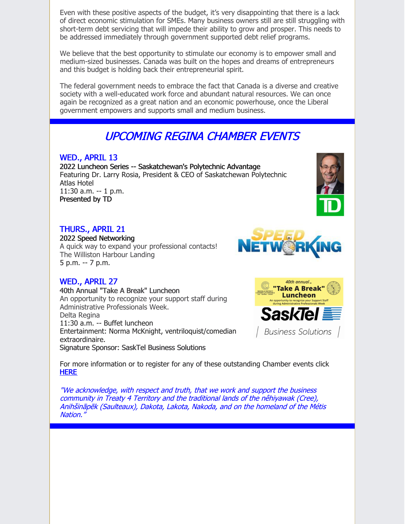Even with these positive aspects of the budget, it's very disappointing that there is a lack of direct economic stimulation for SMEs. Many business owners still are still struggling with short-term debt servicing that will impede their ability to grow and prosper. This needs to be addressed immediately through government supported debt relief programs.

We believe that the best opportunity to stimulate our economy is to empower small and medium-sized businesses. Canada was built on the hopes and dreams of entrepreneurs and this budget is holding back their entrepreneurial spirit.

The federal government needs to embrace the fact that Canada is a diverse and creative society with a well-educated work force and abundant natural resources. We can once again be recognized as a great nation and an economic powerhouse, once the Liberal government empowers and supports small and medium business.

# UPCOMING REGINA CHAMBER EVENTS

#### WED., APRIL 13

2022 Luncheon Series -- Saskatchewan's Polytechnic Advantage Featuring Dr. Larry Rosia, President & CEO of Saskatchewan Polytechnic Atlas Hotel 11:30 a.m. -- 1 p.m. Presented by TD

### THURS., APRIL 21

2022 Speed Networking A quick way to expand your professional contacts!

The Williston Harbour Landing 5 p.m. -- 7 p.m.

### WED., APRIL 27

40th Annual "Take A Break" Luncheon An opportunity to recognize your support staff during Administrative Professionals Week. Delta Regina 11:30 a.m. -- Buffet luncheon Entertainment: Norma McKnight, ventriloquist/comedian extraordinaire. Signature Sponsor: SaskTel Business Solutions







For more information or to register for any of these outstanding Chamber events click [HERE](http://chambermaster.reginachamber.com/events)

"We acknowledge, with respect and truth, that we work and support the business community in Treaty 4 Territory and the traditional lands of the nêhiyawak (Cree), Anihšināpēk (Saulteaux), Dakota, Lakota, Nakoda, and on the homeland of the Métis Nation."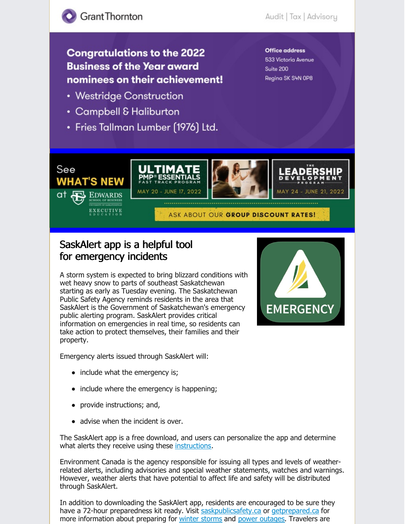## **Congratulations to the 2022 Business of the Year award** nominees on their achievement!

- Westridge Construction
- Campbell & Haliburton
- Fries Tallman Lumber (1976) Ltd.

#### **Office address** 533 Victoria Avenue Suite 200 Regina SK S4N OP8



## SaskAlert app is a helpful tool for emergency incidents

A storm system is expected to bring blizzard conditions with wet heavy snow to parts of southeast Saskatchewan starting as early as Tuesday evening. The Saskatchewan Public Safety Agency reminds residents in the area that SaskAlert is the Government of Saskatchewan's emergency public alerting program. SaskAlert provides critical information on emergencies in real time, so residents can take action to protect themselves, their families and their property.

Emergency alerts issued through SaskAlert will:

- include what the emergency is;
- include where the emergency is happening;
- provide instructions; and,
- advise when the incident is over.

The SaskAlert app is a free download, and users can personalize the app and determine what alerts they receive using these [instructions](https://can01.safelinks.protection.outlook.com/?url=https%3A%2F%2Fpublications.saskatchewan.ca%2F%23%2Fproducts%2F81002&data=04%7C01%7Cdbernreu%40REGINA.CA%7C1e5943bda04f4c2da24f08da1c954db2%7C87ab27073fb24d81a3d71b38f0b23e8b%7C0%7C0%7C637853724836561318%7CUnknown%7CTWFpbGZsb3d8eyJWIjoiMC4wLjAwMDAiLCJQIjoiV2luMzIiLCJBTiI6Ik1haWwiLCJXVCI6Mn0%3D%7C3000&sdata=PQkl0kEu4HZffHZQiG%2BGiekCQTx7ZaqBF2x33UTTl6M%3D&reserved=0).

Environment Canada is the agency responsible for issuing all types and levels of weatherrelated alerts, including advisories and special weather statements, watches and warnings. However, weather alerts that have potential to affect life and safety will be distributed through SaskAlert.

In addition to downloading the SaskAlert app, residents are encouraged to be sure they have a 72-hour preparedness kit ready. Visit [saskpublicsafety.ca](https://can01.safelinks.protection.outlook.com/?url=https%3A%2F%2Fwww.saskpublicsafety.ca%2Fat-home%2Femergency-preparedness-at-home&data=04%7C01%7Cdbernreu%40REGINA.CA%7C1e5943bda04f4c2da24f08da1c954db2%7C87ab27073fb24d81a3d71b38f0b23e8b%7C0%7C0%7C637853724836561318%7CUnknown%7CTWFpbGZsb3d8eyJWIjoiMC4wLjAwMDAiLCJQIjoiV2luMzIiLCJBTiI6Ik1haWwiLCJXVCI6Mn0%3D%7C3000&sdata=PzaMChgomf0AX2TjgSib8JewrMGPIkGDPd0desB8Teo%3D&reserved=0) or [getprepared.ca](https://can01.safelinks.protection.outlook.com/?url=http%3A%2F%2Fgetprepared.ca%2F&data=04%7C01%7Cdbernreu%40REGINA.CA%7C1e5943bda04f4c2da24f08da1c954db2%7C87ab27073fb24d81a3d71b38f0b23e8b%7C0%7C0%7C637853724836561318%7CUnknown%7CTWFpbGZsb3d8eyJWIjoiMC4wLjAwMDAiLCJQIjoiV2luMzIiLCJBTiI6Ik1haWwiLCJXVCI6Mn0%3D%7C3000&sdata=IoXuMa5aphMrersJBc9SZIGX4n%2BEsFuFNVKAGrSzong%3D&reserved=0) for more information about preparing for winter [storms](https://can01.safelinks.protection.outlook.com/?url=https%3A%2F%2Fwww.getprepared.gc.ca%2Fcnt%2Frsrcs%2Fpblctns%2Fsvrstrms-wtd%2Findex-en.aspx&data=04%7C01%7Cdbernreu%40REGINA.CA%7C1e5943bda04f4c2da24f08da1c954db2%7C87ab27073fb24d81a3d71b38f0b23e8b%7C0%7C0%7C637853724836561318%7CUnknown%7CTWFpbGZsb3d8eyJWIjoiMC4wLjAwMDAiLCJQIjoiV2luMzIiLCJBTiI6Ik1haWwiLCJXVCI6Mn0%3D%7C3000&sdata=F60Lmtc3MJNE0hnVQv4g7EymvW2Eskg0KMUPbSeu0%2BE%3D&reserved=0) and power [outages](https://can01.safelinks.protection.outlook.com/?url=https%3A%2F%2Fwww.getprepared.gc.ca%2Fcnt%2Fhzd%2Fpwrtgs-en.aspx&data=04%7C01%7Cdbernreu%40REGINA.CA%7C1e5943bda04f4c2da24f08da1c954db2%7C87ab27073fb24d81a3d71b38f0b23e8b%7C0%7C0%7C637853724836561318%7CUnknown%7CTWFpbGZsb3d8eyJWIjoiMC4wLjAwMDAiLCJQIjoiV2luMzIiLCJBTiI6Ik1haWwiLCJXVCI6Mn0%3D%7C3000&sdata=rjZbZKo%2FGjQI6V8eG29%2BX3mg2tkLEBChS500QpZXk7s%3D&reserved=0). Travelers are